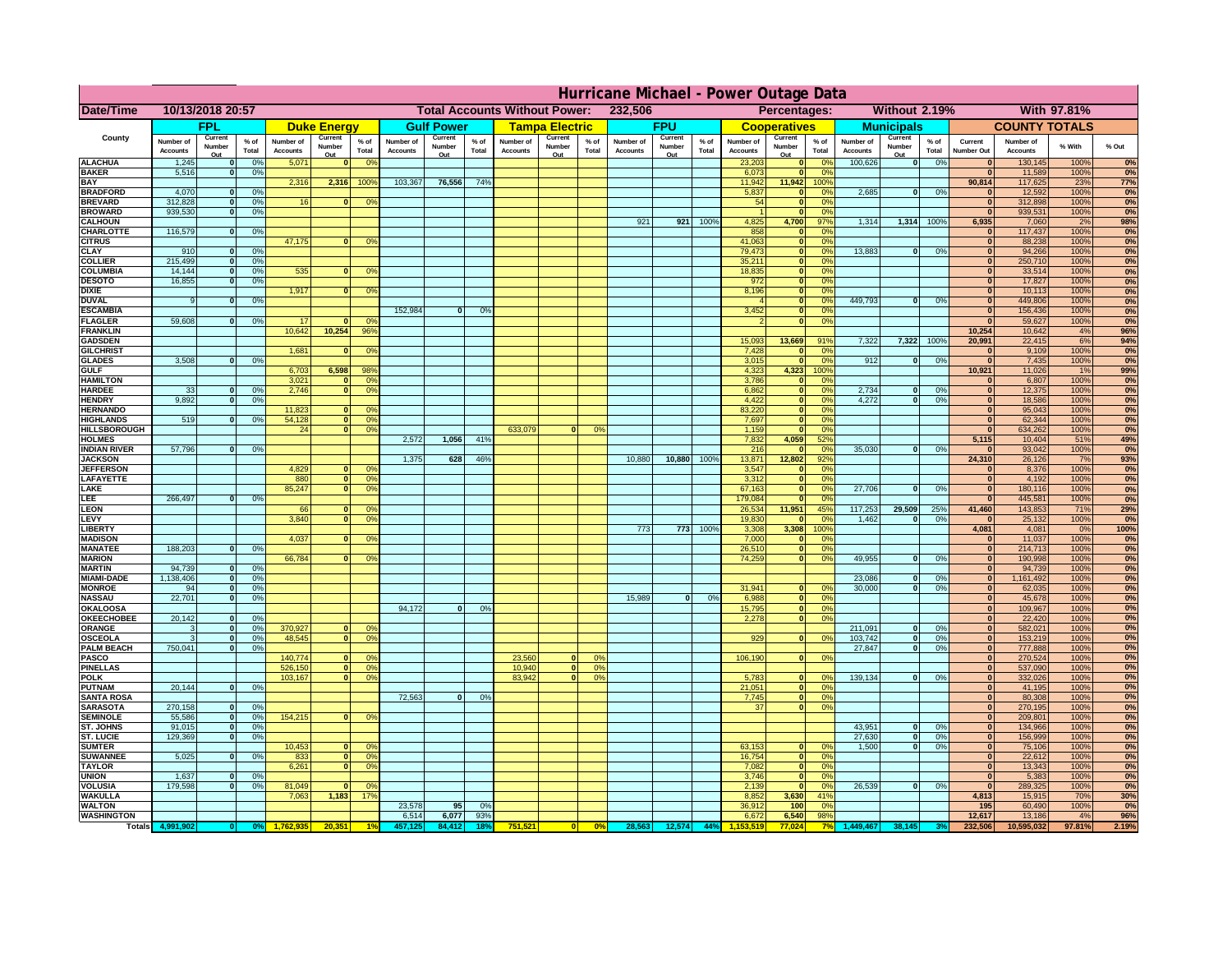|                                       | Hurricane Michael - Power Outage Data |                             |                 |                              |                                                 |                                  |                              |                   |                |                              |                                                     |                 |                       |                   |               |                              |                      |                                  |                              |                               |                 |                              |                              |              |           |
|---------------------------------------|---------------------------------------|-----------------------------|-----------------|------------------------------|-------------------------------------------------|----------------------------------|------------------------------|-------------------|----------------|------------------------------|-----------------------------------------------------|-----------------|-----------------------|-------------------|---------------|------------------------------|----------------------|----------------------------------|------------------------------|-------------------------------|-----------------|------------------------------|------------------------------|--------------|-----------|
| Date/Time                             | 10/13/2018 20:57                      |                             |                 |                              | 232,506<br><b>Total Accounts Without Power:</b> |                                  |                              |                   |                |                              | <b>Without 2.19%</b><br>With 97.81%<br>Percentages: |                 |                       |                   |               |                              |                      |                                  |                              |                               |                 |                              |                              |              |           |
|                                       |                                       | FPL                         |                 |                              | <b>Duke Energy</b>                              |                                  |                              | <b>Gulf Power</b> |                |                              | <b>Tampa Electric</b>                               |                 |                       | <b>FPU</b>        |               |                              | <b>Cooperatives</b>  |                                  |                              | <b>Municipals</b>             |                 |                              | <b>COUNTY TOTALS</b>         |              |           |
| County                                | Number of<br><b>Accounts</b>          | Current<br>Number           | $%$ of<br>Total | Number of<br><b>Accounts</b> | Current<br>Number                               | $%$ of                           | Number of<br><b>Accounts</b> | Current<br>Number | % of<br>Total  | Number of<br><b>Accounts</b> | Current<br>Number                                   | $%$ of<br>Total | Number of<br>Accounts | Current<br>Number | % of<br>Total | Number of<br><b>Accounts</b> | Current<br>Number    | $%$ of<br>Total                  | Number of<br><b>Accounts</b> | Current<br>Number             | $%$ of<br>Total | Current<br><b>Number Out</b> | Number of<br><b>Accounts</b> | % With       | % Out     |
| <b>ALACHUA</b>                        | 1,245                                 | Out<br>$\mathbf{0}$         | 0%              | 5,071                        | Out<br>$\mathbf{0}$                             | Total<br>0 <sup>9</sup>          |                              | Out               |                |                              | Out                                                 |                 |                       | Out               |               | 23,203                       | Out<br> 0            | 0 <sup>9</sup>                   | 100,626                      | Out<br> 0                     | 0%              | $\bf{0}$                     | 130,145                      | 100%         | 0%        |
| <b>BAKER</b>                          | 5,516                                 | 0                           | 0%              |                              |                                                 |                                  |                              |                   |                |                              |                                                     |                 |                       |                   |               | 6,073                        | 0                    | 0%                               |                              |                               |                 | $\mathbf{0}$                 | 11,589                       | 100%         | 0%        |
| <b>BAY</b>                            |                                       |                             |                 | 2,316                        | 2,316                                           | 100%                             | 103,367                      | 76,556            | 74%            |                              |                                                     |                 |                       |                   |               | 11,942                       | 11,942               | 100%                             |                              |                               |                 | 90,814                       | 117,625                      | 23%          | 77%       |
| <b>BRADFORD</b><br><b>BREVARD</b>     | 4,070<br>312,828                      | $\mathbf{0}$<br> 0          | 0%<br>0%        | 16                           | $\mathbf{0}$                                    | 0 <sup>o</sup>                   |                              |                   |                |                              |                                                     |                 |                       |                   |               | 5,837<br>54                  | 0 <br> 0             | 0%<br>0%                         | 2,685                        | 0                             | 0%              | 0                            | 12,592<br>312,898            | 100%<br>100% | 0%<br>0%  |
| <b>BROWARD</b>                        | 939.530                               | $\mathbf{0}$                | 0%              |                              |                                                 |                                  |                              |                   |                |                              |                                                     |                 |                       |                   |               |                              | 0                    | 0%                               |                              |                               |                 | $\Omega$                     | 939,531                      | 100%         | 0%        |
| <b>CALHOUN</b>                        |                                       |                             |                 |                              |                                                 |                                  |                              |                   |                |                              |                                                     |                 | 921                   | 921               | 100%          | 4,825                        | 4,700                | 97%                              | 1,314                        |                               | 1,314 100%      | 6,935                        | 7,060                        | 2%           | 98%       |
| CHARLOTTE<br><b>CITRUS</b>            | 116,579                               | 0                           | 0%              | 47,175                       | $\mathbf{0}$                                    | 0 <sup>o</sup>                   |                              |                   |                |                              |                                                     |                 |                       |                   |               | 858<br>41,063                | 0 <br> 0             | 0 <sup>9</sup><br>0 <sup>9</sup> |                              |                               |                 | $\bf{0}$                     | 117,437<br>88,238            | 100%<br>100% | 0%<br>0%  |
| <b>CLAY</b>                           | 910                                   | $\mathbf{0}$                | 0%              |                              |                                                 |                                  |                              |                   |                |                              |                                                     |                 |                       |                   |               | 79,473                       | 0                    | 0%                               | 13,883                       | 0                             | 0%              | $\bf{0}$                     | 94,266                       | 100%         | 0%        |
| <b>COLLIER</b>                        | 215,499                               | $\mathbf{0}$                | 0 <sup>9</sup>  |                              |                                                 |                                  |                              |                   |                |                              |                                                     |                 |                       |                   |               | 35,211                       | 0                    | 0%                               |                              |                               |                 | $\bf{0}$                     | 250,710                      | 100%         | 0%        |
| <b>COLUMBIA</b><br><b>DESOTO</b>      | 14,144<br>16,855                      | $\mathbf 0$<br>$\mathbf{0}$ | 0%<br>0%        | 535                          | $\mathbf{0}$                                    | 0 <sup>9</sup>                   |                              |                   |                |                              |                                                     |                 |                       |                   |               | 18,835<br>972                | 0 <br> 0             | 0%<br>0%                         |                              |                               |                 | $\bf{0}$<br>$\bf{0}$         | 33,514<br>17,827             | 100%<br>100% | 0%<br>0%  |
| <b>DIXIE</b>                          |                                       |                             |                 | 1,917                        | $\mathbf{0}$                                    | 0 <sup>9</sup>                   |                              |                   |                |                              |                                                     |                 |                       |                   |               | 8,196                        | 0                    | 0%                               |                              |                               |                 | $\Omega$                     | 10,113                       | 100%         | 0%        |
| <b>DUVAL</b>                          | 9                                     | $\Omega$                    | 0%              |                              |                                                 |                                  |                              |                   |                |                              |                                                     |                 |                       |                   |               |                              | 0                    | 0%                               | 449.793                      | - O I                         | 0%              | $\Omega$                     | 449,806                      | 100%         | 0%        |
| <b>ESCAMBIA</b>                       |                                       |                             |                 | -17                          |                                                 |                                  | 152,984                      | $\mathbf{0}$      | 0 <sup>9</sup> |                              |                                                     |                 |                       |                   |               | 3,452                        | 0                    | 0%                               |                              |                               |                 | $\Omega$<br>$\Omega$         | 156,436                      | 100%         | 0%        |
| <b>FLAGLER</b><br><b>FRANKLIN</b>     | 59,608                                | $\overline{0}$              | 0%              | 10,642                       | 10,254                                          | $^{\circ}$<br>96%                |                              |                   |                |                              |                                                     |                 |                       |                   |               |                              | 0                    | 0%                               |                              |                               |                 | 10,254                       | 59,627<br>10,642             | 100%<br>4%   | 0%<br>96% |
| <b>GADSDEN</b>                        |                                       |                             |                 |                              |                                                 |                                  |                              |                   |                |                              |                                                     |                 |                       |                   |               | 15,093                       | 13,669               | 91%                              | 7,322                        | 7,322 100%                    |                 | 20,991                       | 22,415                       | 6%           | 94%       |
| <b>GILCHRIST</b>                      |                                       |                             |                 | 1,681                        | $\Omega$                                        | 0 <sup>9</sup>                   |                              |                   |                |                              |                                                     |                 |                       |                   |               | 7,428                        | 0                    | 0%                               |                              |                               |                 | $\overline{\mathbf{0}}$      | 9,109                        | 100%         | 0%        |
| <b>GLADES</b><br><b>GULF</b>          | 3,508                                 | 0                           | 0%              | 6,703                        | 6,598                                           | 98%                              |                              |                   |                |                              |                                                     |                 |                       |                   |               | 3,015<br>4,323               | 0 <br>4,323          | 0%<br>100%                       | 912                          | $\overline{0}$                | 0%              | $\overline{0}$<br>10,921     | 7,435<br>11,026              | 100%<br>1%   | 0%<br>99% |
| <b>HAMILTON</b>                       |                                       |                             |                 | 3,021                        | $\Omega$                                        | 0 <sup>9</sup>                   |                              |                   |                |                              |                                                     |                 |                       |                   |               | 3,786                        | 0                    | 0%                               |                              |                               |                 | $\Omega$                     | 6,807                        | 100%         | 0%        |
| <b>HARDEE</b>                         | 33                                    | $\mathbf{0}$                | 0%              | 2.746                        | $\overline{0}$                                  | 0 <sup>9</sup>                   |                              |                   |                |                              |                                                     |                 |                       |                   |               | 6.862                        | $\overline{0}$       | 0%                               | 2.734                        | $\mathbf{0}$                  | 0%              | 0                            | 12,375                       | 100%         | 0%        |
| <b>HENDRY</b>                         | 9.892                                 | $\mathbf{0}$                | 0%              |                              | $\Omega$                                        |                                  |                              |                   |                |                              |                                                     |                 |                       |                   |               | 4.422                        | 0                    | 0%                               | 4.272                        | $\mathbf{0}$                  | 0%              | 0                            | 18.586                       | 100%         | 0%        |
| <b>HERNANDO</b><br><b>HIGHLANDS</b>   | 519                                   | $\mathbf{0}$                | 0 <sup>9</sup>  | 11,823<br>54,128             | 0                                               | 0 <sup>o</sup><br>0 <sup>9</sup> |                              |                   |                |                              |                                                     |                 |                       |                   |               | 83,220<br>7,697              | $\overline{0}$<br> 0 | 0%<br>0%                         |                              |                               |                 | 0 <br> 0                     | 95,043<br>62,344             | 100%<br>100% | 0%<br>0%  |
| <b>HILLSBOROUGH</b>                   |                                       |                             |                 | 24                           | $\overline{0}$                                  | 0 <sup>9</sup>                   |                              |                   |                | 633,079                      |                                                     | 0%              |                       |                   |               | 1,159                        | 0                    | 0%                               |                              |                               |                 | 0                            | 634,262                      | 100%         | 0%        |
| <b>HOLMES</b>                         |                                       |                             |                 |                              |                                                 |                                  | 2,572                        | 1,056             | 41%            |                              |                                                     |                 |                       |                   |               | 7,832                        | 4,059                | 52%                              |                              |                               |                 | 5,115                        | 10,404                       | 51%          | 49%       |
| <b>INDIAN RIVER</b><br><b>JACKSON</b> | 57,796                                | 0                           | 0%              |                              |                                                 |                                  | 1,375                        | 628               | 46%            |                              |                                                     |                 | 10,880                | 10,880            | 100%          | 216<br>13,871                | 0 <br>12,802         | 0 <sup>9</sup><br>92%            | 35,030                       | $\mathbf{0}$                  | 0%              | $\bf{0}$<br>24,310           | 93,042<br>26,126             | 100%<br>7%   | 0%<br>93% |
| <b>JEFFERSOI</b>                      |                                       |                             |                 | 4,829                        | $\Omega$                                        | $^{\circ}$                       |                              |                   |                |                              |                                                     |                 |                       |                   |               | 3,547                        | 0                    | 0%                               |                              |                               |                 | $\mathbf{0}$                 | 8,376                        | 100%         | 0%        |
| <b>LAFAYETTE</b>                      |                                       |                             |                 | 880                          | $\overline{0}$                                  | 0 <sup>9</sup>                   |                              |                   |                |                              |                                                     |                 |                       |                   |               | 3,312                        | 0                    | 0%                               |                              |                               |                 | 0                            | 4,192                        | 100%         | 0%        |
| LAKE                                  | 266,497                               |                             |                 | 85,247                       | $\overline{0}$                                  | 0 <sup>9</sup>                   |                              |                   |                |                              |                                                     |                 |                       |                   |               | 67,163                       | 0                    | 0%                               | 27,706                       | $\Omega$                      | 0%              | 0                            | 180,116                      | 100%         | 0%        |
| LEE<br>LEON                           |                                       | $\overline{0}$              | 0%              | 66                           | $\mathbf{0}$                                    | 0 <sup>o</sup>                   |                              |                   |                |                              |                                                     |                 |                       |                   |               | 179,084<br>26,534            | 0 <br>11,951         | 0%<br>45%                        | 117,253                      | 29,509                        | 25%             | 0 <br>41,460                 | 445,581<br>143,853           | 100%<br>71%  | 0%<br>29% |
| LEVY                                  |                                       |                             |                 | 3,840                        | $\Omega$                                        | 0 <sup>o</sup>                   |                              |                   |                |                              |                                                     |                 |                       |                   |               | 19,830                       | 0                    | 0 <sup>9</sup>                   | 1,462                        | $\mathbf{0}$                  | 0%              | $\mathbf{0}$                 | 25,132                       | 100%         | 0%        |
| LIBERTY                               |                                       |                             |                 |                              |                                                 |                                  |                              |                   |                |                              |                                                     |                 | 773                   | 773               | 100%          | 3,308                        | 3,308                | 100%                             |                              |                               |                 | 4,081                        | 4,081                        | 0%           | 100%      |
| <b>MADISON</b><br><b>MANATEE</b>      | 188,203                               | $\mathbf{0}$                | 0%              | 4,037                        | $\Omega$                                        | 0 <sup>9</sup>                   |                              |                   |                |                              |                                                     |                 |                       |                   |               | 7,000<br>26,510              | 0                    | 0 <sup>9</sup><br> 0 <br>0%      |                              |                               |                 | 0 <br> 0                     | 11,037<br>214,713            | 100%<br>100% | 0%<br>0%  |
| <b>MARION</b>                         |                                       |                             |                 | 66,784                       | $\mathbf{0}$                                    | 0 <sup>9</sup>                   |                              |                   |                |                              |                                                     |                 |                       |                   |               | 74,259                       |                      | 0 <br>0%                         | 49,955                       | $\Omega$                      | 0%              | 0                            | 190,998                      | 100%         | 0%        |
| <b>MARTIN</b>                         | 94,739                                | 0                           | 0%              |                              |                                                 |                                  |                              |                   |                |                              |                                                     |                 |                       |                   |               |                              |                      |                                  |                              |                               |                 | 0                            | 94,739                       | 100%         | 0%        |
| <b>MIAMI-DADE</b>                     | 1,138,406                             | 0                           | 0%              |                              |                                                 |                                  |                              |                   |                |                              |                                                     |                 |                       |                   |               |                              |                      |                                  | 23,086                       | $\mathbf{0}$                  | 0%              | 0                            | 1,161,492                    | 100%         | 0%        |
| <b>MONROE</b><br><b>NASSAU</b>        | 94<br>22,701                          | 0 <br> 0                    | 0%<br>0%        |                              |                                                 |                                  |                              |                   |                |                              |                                                     |                 | 15,989                | 0                 | 0%            | 31,941<br>6,988              | $\overline{0}$       | 0 <sup>9</sup><br> 0 <br>0%      | 30,000                       | 0                             | 0%              | 0 <br> 0                     | 62,035<br>45,678             | 100%<br>100% | 0%<br>0%  |
| <b>OKALOOSA</b>                       |                                       |                             |                 |                              |                                                 |                                  | 94,172                       | $\Omega$          | 0%             |                              |                                                     |                 |                       |                   |               | 15,795                       |                      | 0%<br> 0                         |                              |                               |                 | 0                            | 109,967                      | 100%         | 0%        |
| <b>OKEECHOBEE</b>                     | 20,142                                | 0                           | 0%              |                              |                                                 |                                  |                              |                   |                |                              |                                                     |                 |                       |                   |               | 2,278                        |                      | 0 <br>0%                         |                              |                               |                 | 0                            | 22,420                       | 100%         | 0%        |
| ORANGE<br><b>OSCEOLA</b>              | 3<br>3                                | 0 <br> 0                    | 0%<br>0%        | 370,927<br>48,545            | 0 <br> 0                                        | 0 <sup>o</sup><br>0 <sup>9</sup> |                              |                   |                |                              |                                                     |                 |                       |                   |               | 929                          |                      | 0 <br>0%                         | 211,091<br>103,742           | $\overline{\mathbf{0}}$<br> 0 | 0%<br>0%        | 0 <br> 0                     | 582,021<br>153,219           | 100%<br>100% | 0%<br>0%  |
| <b>PALM BEACH</b>                     | 750,041                               | 0                           | 0%              |                              |                                                 |                                  |                              |                   |                |                              |                                                     |                 |                       |                   |               |                              |                      |                                  | 27,847                       | $\overline{\mathbf{0}}$       | 0%              | 0                            | 777,888                      | 100%         | 0%        |
| <b>PASCO</b>                          |                                       |                             |                 | 140,774                      | $\Omega$                                        | $^{\circ}$                       |                              |                   |                | 23,560                       | $\Omega$                                            | $^{\circ}$      |                       |                   |               | 106,190                      |                      | 0 <br>0%                         |                              |                               |                 | 0                            | 270,524                      | 100%         | 0%        |
| <b>PINELLAS</b><br><b>POLK</b>        |                                       |                             |                 | 526,150<br>103,167           | 0 <br> 0                                        | 0 <sup>9</sup><br>0 <sup>9</sup> |                              |                   |                | 10,940<br>83,942             | 0 <br>$\mathbf{a}$                                  | 0%<br>0%        |                       |                   |               |                              |                      | $\Omega$                         | 139,134                      | 0                             | 0%              | $\Omega$<br> 0               | 537,090                      | 100%<br>100% | 0%        |
| <b>PUTNAM</b>                         | 20,144                                | 0                           | 0%              |                              |                                                 |                                  |                              |                   |                |                              |                                                     |                 |                       |                   |               | 5,783<br>21,051              |                      | 0 <br> 0 <br>0%                  |                              |                               |                 | $\bf{0}$                     | 332,026<br>41,195            | 100%         | 0%<br>0%  |
| <b>SANTA ROSA</b>                     |                                       |                             |                 |                              |                                                 |                                  | 72,563                       | 0                 | 0%             |                              |                                                     |                 |                       |                   |               | 7,745                        |                      | 0 <br>0%                         |                              |                               |                 | $\mathbf{0}$                 | 80,308                       | 100%         | 0%        |
| <b>SARASOTA</b>                       | 270,158                               | 0                           | 0%              |                              |                                                 |                                  |                              |                   |                |                              |                                                     |                 |                       |                   |               | 37                           |                      | 0 <br>0%                         |                              |                               |                 | $\mathbf{0}$                 | 270,195                      | 100%         | 0%        |
| <b>SEMINOLE</b><br><b>ST. JOHNS</b>   | 55,586<br>91,015                      | 0 <br> 0                    | 0%<br>0%        | 154,215                      | $\mathbf{0}$                                    | 0 <sup>9</sup>                   |                              |                   |                |                              |                                                     |                 |                       |                   |               |                              |                      |                                  | 43,951                       | -ol                           | 0%              | $\mathbf{0}$<br> 0           | 209,801<br>134,966           | 100%<br>100% | 0%<br>0%  |
| <b>ST. LUCIE</b>                      | 129.369                               | $\overline{0}$              | 0%              |                              |                                                 |                                  |                              |                   |                |                              |                                                     |                 |                       |                   |               |                              |                      |                                  | 27.630                       | - O I                         | 0%              | 0                            | 156,999                      | 100%         | 0%        |
| <b>SUMTER</b>                         |                                       |                             |                 | 10,453                       | 0                                               | 0 <sup>9</sup>                   |                              |                   |                |                              |                                                     |                 |                       |                   |               | 63,153                       | 0                    | 0%                               | 1.500                        | 0                             | 0%              | 0                            | 75,106                       | 100%         | 0%        |
| <b>SUWANNEE</b>                       | 5,025                                 | 0                           | 0%              | 833                          | 0                                               | 0 <sup>o</sup>                   |                              |                   |                |                              |                                                     |                 |                       |                   |               | 16,754                       | 0                    | 0%                               |                              |                               |                 | $\mathbf{0}$                 | 22,612                       | 100%         | 0%        |
| <b>TAYLOR</b><br><b>UNION</b>         | 1,637                                 | $\mathbf{0}$                | 0%              | 6,261                        | 0                                               | 0 <sup>9</sup>                   |                              |                   |                |                              |                                                     |                 |                       |                   |               | 7,082<br>3,746               | 0 <br> 0             | 0%<br>0%                         |                              |                               |                 | $\bf{0}$<br>$\bf{0}$         | 13,343<br>5,383              | 100%<br>100% | 0%<br>0%  |
| <b>VOLUSIA</b>                        | 179,598                               | 0                           | 0%              | 81,049                       |                                                 | $\mathbf{O}^{\prime}$            |                              |                   |                |                              |                                                     |                 |                       |                   |               | 2,139                        | 0                    | 0%                               | 26,539                       | 0                             | 0%              | $\mathbf{0}$                 | 289,325                      | 100%         | 0%        |
| <b>WAKULLA</b>                        |                                       |                             |                 | 7,063                        | 1,183                                           | 17%                              |                              |                   |                |                              |                                                     |                 |                       |                   |               | 8,852                        | 3,630                | 41%                              |                              |                               |                 | 4,813                        | 15,915                       | 70%          | 30%       |
| <b>WALTON</b><br><b>WASHINGTON</b>    |                                       |                             |                 |                              |                                                 |                                  | 23,578<br>6,514              | 95<br>6,077       | 0%<br>93%      |                              |                                                     |                 |                       |                   |               | 36,912<br>6,672              | 100<br>6,540         | 0%<br>98%                        |                              |                               |                 | 195<br>12,617                | 60,490<br>13,186             | 100%<br>4%   | 0%<br>96% |
| <b>Totals</b>                         |                                       |                             |                 |                              | 20,351                                          |                                  |                              | 84.412            | 18'            | 751,521                      | 0                                                   | $\frac{1}{2}$   | 28,563                | 12,574            | 44%           |                              | 77.024               |                                  | ,449,46                      |                               |                 | 232,506                      | 10,595,032                   | 97.81%       | 2.19%     |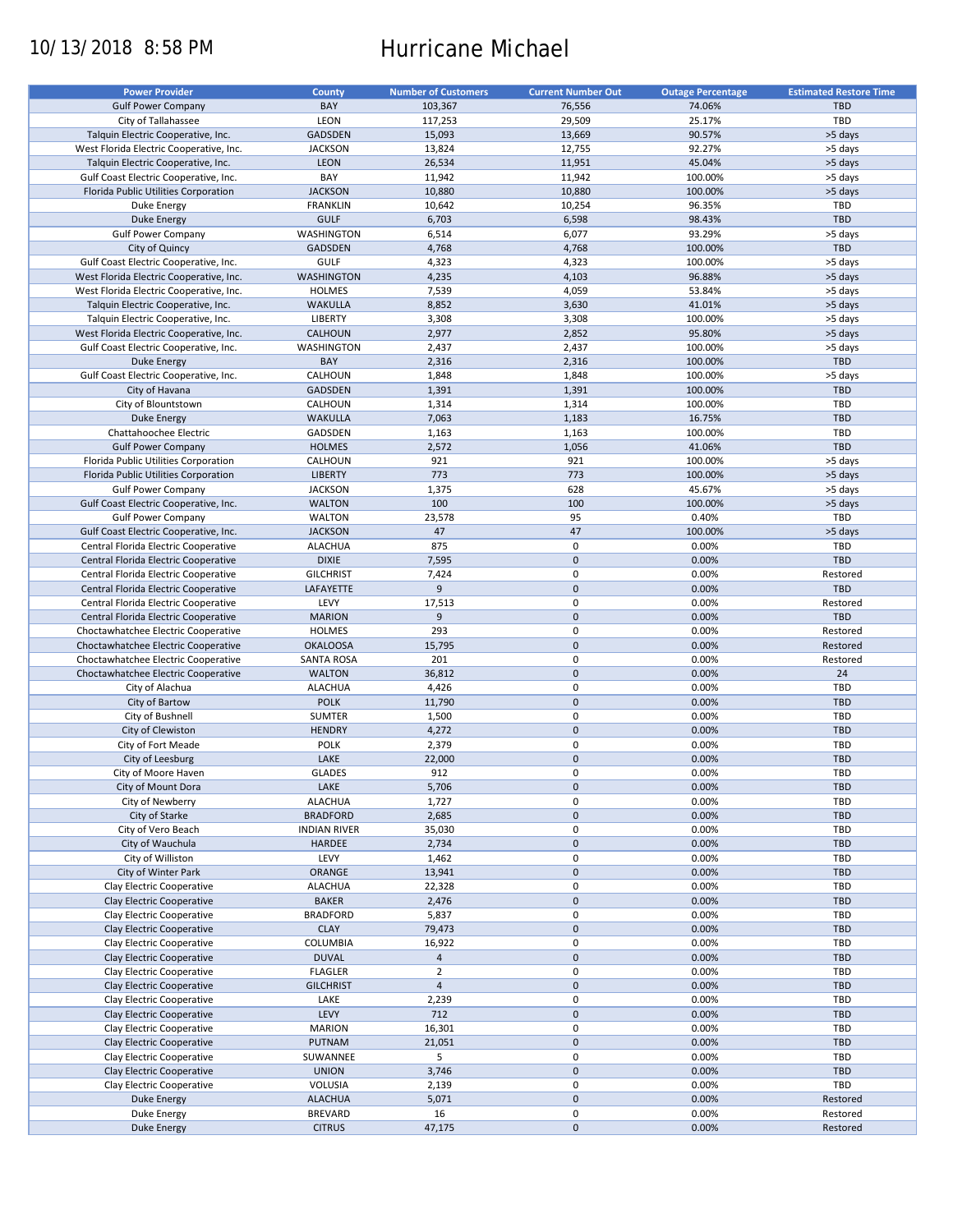# 10/13/2018 8:58 PM Hurricane Michael

| <b>Power Provider</b>                   | <b>County</b>       | <b>Number of Customers</b> | <b>Current Number Out</b> | <b>Outage Percentage</b> | <b>Estimated Restore Time</b> |
|-----------------------------------------|---------------------|----------------------------|---------------------------|--------------------------|-------------------------------|
| <b>Gulf Power Company</b>               | BAY                 | 103,367                    | 76,556                    | 74.06%                   | <b>TBD</b>                    |
| City of Tallahassee                     | LEON                | 117,253                    | 29,509                    | 25.17%                   | TBD                           |
| Talquin Electric Cooperative, Inc.      | <b>GADSDEN</b>      | 15,093                     | 13,669                    | 90.57%                   | >5 days                       |
| West Florida Electric Cooperative, Inc. | <b>JACKSON</b>      | 13,824                     | 12,755                    | 92.27%                   | >5 days                       |
|                                         | <b>LEON</b>         |                            | 11,951                    | 45.04%                   | >5 days                       |
| Talquin Electric Cooperative, Inc.      |                     | 26,534                     |                           |                          |                               |
| Gulf Coast Electric Cooperative, Inc.   | BAY                 | 11,942                     | 11,942                    | 100.00%                  | >5 days                       |
| Florida Public Utilities Corporation    | <b>JACKSON</b>      | 10,880                     | 10,880                    | 100.00%                  | >5 days                       |
| Duke Energy                             | <b>FRANKLIN</b>     | 10,642                     | 10,254                    | 96.35%                   | TBD                           |
| <b>Duke Energy</b>                      | <b>GULF</b>         | 6,703                      | 6,598                     | 98.43%                   | <b>TBD</b>                    |
| <b>Gulf Power Company</b>               | WASHINGTON          | 6,514                      | 6,077                     | 93.29%                   | >5 days                       |
| City of Quincy                          | <b>GADSDEN</b>      | 4,768                      | 4,768                     | 100.00%                  | <b>TBD</b>                    |
| Gulf Coast Electric Cooperative, Inc.   | <b>GULF</b>         | 4,323                      | 4,323                     | 100.00%                  | >5 days                       |
| West Florida Electric Cooperative, Inc. | <b>WASHINGTON</b>   | 4,235                      | 4,103                     | 96.88%                   | >5 days                       |
| West Florida Electric Cooperative, Inc. | <b>HOLMES</b>       | 7,539                      | 4,059                     | 53.84%                   | >5 days                       |
| Talquin Electric Cooperative, Inc.      | <b>WAKULLA</b>      | 8,852                      | 3,630                     | 41.01%                   | >5 days                       |
| Talquin Electric Cooperative, Inc.      | <b>LIBERTY</b>      | 3,308                      | 3,308                     | 100.00%                  | >5 days                       |
| West Florida Electric Cooperative, Inc. | CALHOUN             | 2,977                      | 2,852                     | 95.80%                   | >5 days                       |
| Gulf Coast Electric Cooperative, Inc.   | WASHINGTON          | 2,437                      | 2,437                     | 100.00%                  | >5 days                       |
| <b>Duke Energy</b>                      | BAY                 | 2,316                      | 2,316                     | 100.00%                  | <b>TBD</b>                    |
| Gulf Coast Electric Cooperative, Inc.   | CALHOUN             | 1,848                      | 1,848                     | 100.00%                  | >5 days                       |
| City of Havana                          | <b>GADSDEN</b>      | 1,391                      | 1,391                     | 100.00%                  | <b>TBD</b>                    |
| City of Blountstown                     | CALHOUN             | 1,314                      | 1,314                     | 100.00%                  | TBD                           |
|                                         |                     |                            |                           |                          |                               |
| <b>Duke Energy</b>                      | <b>WAKULLA</b>      | 7,063                      | 1,183                     | 16.75%                   | <b>TBD</b>                    |
| Chattahoochee Electric                  | GADSDEN             | 1,163                      | 1,163                     | 100.00%                  | TBD                           |
| <b>Gulf Power Company</b>               | <b>HOLMES</b>       | 2,572                      | 1,056                     | 41.06%                   | <b>TBD</b>                    |
| Florida Public Utilities Corporation    | CALHOUN             | 921                        | 921                       | 100.00%                  | >5 days                       |
| Florida Public Utilities Corporation    | <b>LIBERTY</b>      | 773                        | 773                       | 100.00%                  | >5 days                       |
| <b>Gulf Power Company</b>               | <b>JACKSON</b>      | 1,375                      | 628                       | 45.67%                   | >5 days                       |
| Gulf Coast Electric Cooperative, Inc.   | <b>WALTON</b>       | 100                        | 100                       | 100.00%                  | >5 days                       |
| <b>Gulf Power Company</b>               | <b>WALTON</b>       | 23,578                     | 95                        | 0.40%                    | TBD                           |
| Gulf Coast Electric Cooperative, Inc.   | <b>JACKSON</b>      | 47                         | 47                        | 100.00%                  | >5 days                       |
| Central Florida Electric Cooperative    | <b>ALACHUA</b>      | 875                        | 0                         | 0.00%                    | TBD                           |
| Central Florida Electric Cooperative    | <b>DIXIE</b>        | 7,595                      | $\mathbf 0$               | 0.00%                    | <b>TBD</b>                    |
| Central Florida Electric Cooperative    | <b>GILCHRIST</b>    | 7,424                      | 0                         | 0.00%                    | Restored                      |
| Central Florida Electric Cooperative    | LAFAYETTE           | 9                          | $\mathbf 0$               | 0.00%                    | <b>TBD</b>                    |
| Central Florida Electric Cooperative    | LEVY                | 17,513                     | 0                         | 0.00%                    | Restored                      |
| Central Florida Electric Cooperative    | <b>MARION</b>       | 9                          | $\mathbf 0$               | 0.00%                    | <b>TBD</b>                    |
| Choctawhatchee Electric Cooperative     | <b>HOLMES</b>       | 293                        | $\pmb{0}$                 | 0.00%                    | Restored                      |
| Choctawhatchee Electric Cooperative     | <b>OKALOOSA</b>     | 15,795                     | $\mathbf 0$               | 0.00%                    | Restored                      |
| Choctawhatchee Electric Cooperative     | <b>SANTA ROSA</b>   | 201                        | $\mathbf 0$               | 0.00%                    | Restored                      |
| Choctawhatchee Electric Cooperative     | <b>WALTON</b>       | 36,812                     | $\pmb{0}$                 | 0.00%                    | 24                            |
| City of Alachua                         | <b>ALACHUA</b>      | 4,426                      | 0                         | 0.00%                    | TBD                           |
|                                         |                     |                            | $\mathbf 0$               |                          | <b>TBD</b>                    |
| City of Bartow                          | <b>POLK</b>         | 11,790                     |                           | 0.00%                    |                               |
| City of Bushnell                        | SUMTER              | 1,500                      | 0                         | 0.00%                    | TBD                           |
| City of Clewiston                       | <b>HENDRY</b>       | 4,272                      | $\mathbf 0$               | 0.00%                    | <b>TBD</b>                    |
| City of Fort Meade                      | <b>POLK</b>         | 2,379                      | 0                         | 0.00%                    | <b>TBD</b>                    |
| City of Leesburg                        | LAKE                | 22,000                     | $\mathbf 0$               | 0.00%                    | <b>TBD</b>                    |
| City of Moore Haven                     | <b>GLADES</b>       | 912                        | $\mathbf 0$               | 0.00%                    | TBD                           |
| City of Mount Dora                      | LAKE                | 5,706                      | $\pmb{0}$                 | 0.00%                    | TBD                           |
| City of Newberry                        | <b>ALACHUA</b>      | 1,727                      | 0                         | 0.00%                    | TBD                           |
| City of Starke                          | <b>BRADFORD</b>     | 2,685                      | $\pmb{0}$                 | 0.00%                    | <b>TBD</b>                    |
| City of Vero Beach                      | <b>INDIAN RIVER</b> | 35,030                     | 0                         | 0.00%                    | TBD                           |
| City of Wauchula                        | <b>HARDEE</b>       | 2,734                      | $\mathsf{O}\xspace$       | 0.00%                    | TBD                           |
| City of Williston                       | LEVY                | 1,462                      | $\pmb{0}$                 | 0.00%                    | TBD                           |
| City of Winter Park                     | ORANGE              | 13,941                     | $\mathsf{O}\xspace$       | 0.00%                    | TBD                           |
| Clay Electric Cooperative               | <b>ALACHUA</b>      | 22,328                     | 0                         | 0.00%                    | TBD                           |
| Clay Electric Cooperative               | <b>BAKER</b>        | 2,476                      | $\mathsf{O}\xspace$       | 0.00%                    | <b>TBD</b>                    |
| Clay Electric Cooperative               | <b>BRADFORD</b>     | 5,837                      | 0                         | 0.00%                    | TBD                           |
| Clay Electric Cooperative               | <b>CLAY</b>         | 79,473                     | $\pmb{0}$                 | 0.00%                    | <b>TBD</b>                    |
|                                         |                     |                            |                           |                          |                               |
| Clay Electric Cooperative               | COLUMBIA            | 16,922                     | 0                         | 0.00%                    | TBD                           |
| Clay Electric Cooperative               | <b>DUVAL</b>        | $\overline{4}$             | $\pmb{0}$                 | 0.00%                    | <b>TBD</b>                    |
| Clay Electric Cooperative               | <b>FLAGLER</b>      | $\overline{2}$             | $\pmb{0}$                 | 0.00%                    | TBD                           |
| Clay Electric Cooperative               | <b>GILCHRIST</b>    | $\overline{4}$             | $\pmb{0}$                 | 0.00%                    | <b>TBD</b>                    |
| Clay Electric Cooperative               | LAKE                | 2,239                      | $\pmb{0}$                 | 0.00%                    | TBD                           |
| Clay Electric Cooperative               | LEVY                | 712                        | $\pmb{0}$                 | 0.00%                    | <b>TBD</b>                    |
| Clay Electric Cooperative               | <b>MARION</b>       | 16,301                     | $\pmb{0}$                 | 0.00%                    | TBD                           |
| Clay Electric Cooperative               | PUTNAM              | 21,051                     | $\pmb{0}$                 | 0.00%                    | TBD                           |
| Clay Electric Cooperative               | SUWANNEE            | 5                          | 0                         | 0.00%                    | TBD                           |
| Clay Electric Cooperative               | <b>UNION</b>        | 3,746                      | $\pmb{0}$                 | 0.00%                    | TBD                           |
| Clay Electric Cooperative               | VOLUSIA             | 2,139                      | 0                         | 0.00%                    | TBD                           |
| <b>Duke Energy</b>                      | <b>ALACHUA</b>      | 5,071                      | $\pmb{0}$                 | 0.00%                    | Restored                      |
| Duke Energy                             | <b>BREVARD</b>      | 16                         | 0                         | 0.00%                    | Restored                      |
| Duke Energy                             | <b>CITRUS</b>       | 47,175                     | $\pmb{0}$                 | 0.00%                    | Restored                      |
|                                         |                     |                            |                           |                          |                               |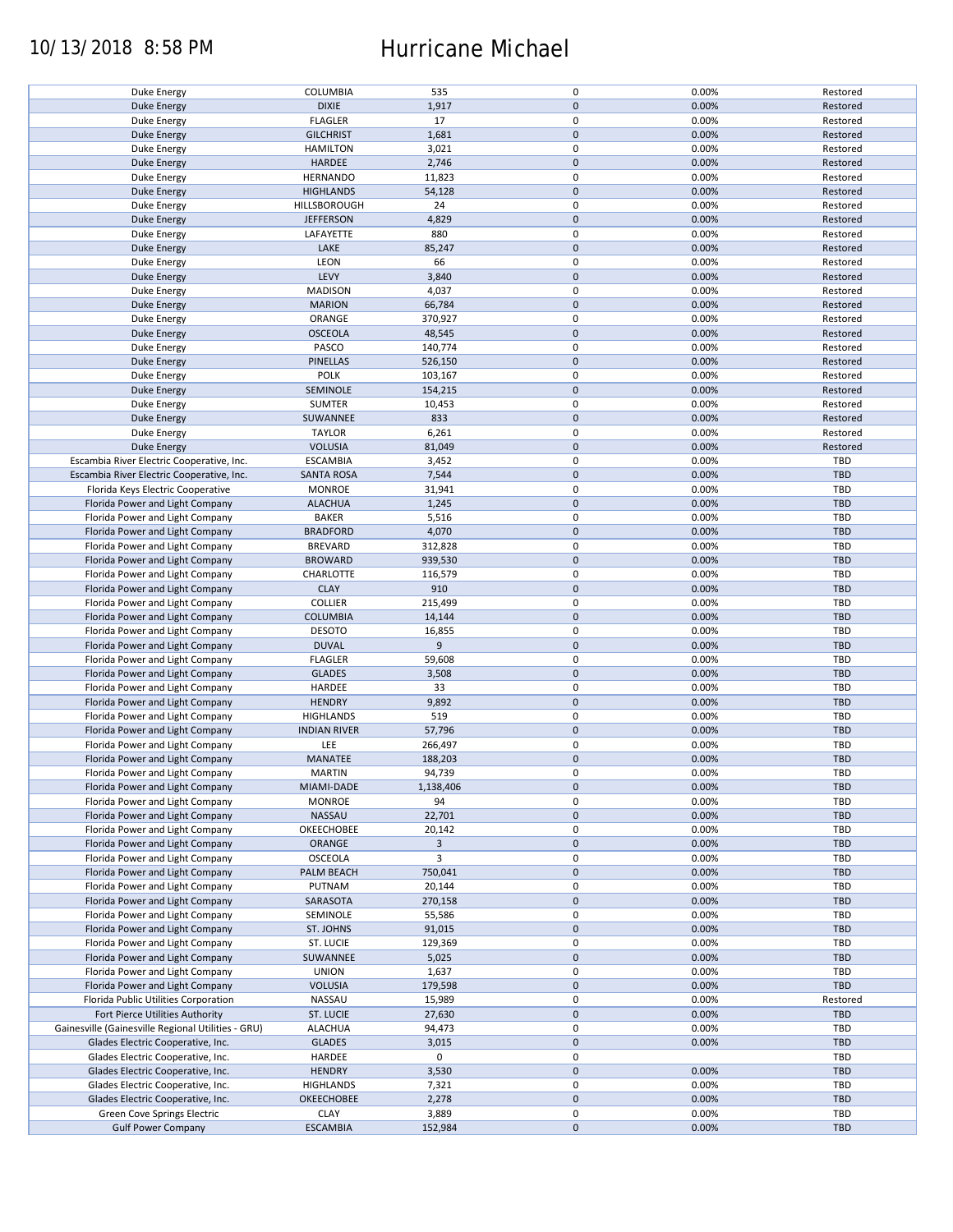## 10/13/2018 8:58 PM Hurricane Michael

| Duke Energy                                        |                     |           | 0           | 0.00% | Restored   |
|----------------------------------------------------|---------------------|-----------|-------------|-------|------------|
|                                                    | COLUMBIA            | 535       |             |       |            |
| <b>Duke Energy</b>                                 | <b>DIXIE</b>        | 1,917     | $\pmb{0}$   | 0.00% | Restored   |
| <b>Duke Energy</b>                                 | <b>FLAGLER</b>      | 17        | 0           | 0.00% | Restored   |
| <b>Duke Energy</b>                                 | <b>GILCHRIST</b>    | 1,681     | $\pmb{0}$   | 0.00% | Restored   |
|                                                    |                     |           | 0           |       |            |
| Duke Energy                                        | <b>HAMILTON</b>     | 3,021     |             | 0.00% | Restored   |
| Duke Energy                                        | HARDEE              | 2,746     | $\mathbf 0$ | 0.00% | Restored   |
| Duke Energy                                        | <b>HERNANDO</b>     | 11,823    | 0           | 0.00% | Restored   |
| <b>Duke Energy</b>                                 | <b>HIGHLANDS</b>    | 54,128    | $\pmb{0}$   | 0.00% | Restored   |
|                                                    |                     |           | 0           | 0.00% |            |
| Duke Energy                                        | HILLSBOROUGH        | 24        |             |       | Restored   |
| <b>Duke Energy</b>                                 | <b>JEFFERSON</b>    | 4,829     | $\pmb{0}$   | 0.00% | Restored   |
| Duke Energy                                        | LAFAYETTE           | 880       | 0           | 0.00% | Restored   |
| <b>Duke Energy</b>                                 | LAKE                | 85,247    | $\pmb{0}$   | 0.00% | Restored   |
| Duke Energy                                        | LEON                | 66        | 0           | 0.00% | Restored   |
|                                                    |                     |           |             |       |            |
| Duke Energy                                        | LEVY                | 3,840     | $\mathbf 0$ | 0.00% | Restored   |
| Duke Energy                                        | <b>MADISON</b>      | 4,037     | 0           | 0.00% | Restored   |
| <b>Duke Energy</b>                                 | <b>MARION</b>       | 66,784    | $\mathbf 0$ | 0.00% | Restored   |
| Duke Energy                                        | ORANGE              | 370,927   | 0           | 0.00% | Restored   |
|                                                    |                     |           |             |       |            |
| <b>Duke Energy</b>                                 | <b>OSCEOLA</b>      | 48,545    | $\pmb{0}$   | 0.00% | Restored   |
| Duke Energy                                        | PASCO               | 140,774   | $\pmb{0}$   | 0.00% | Restored   |
| <b>Duke Energy</b>                                 | <b>PINELLAS</b>     | 526,150   | $\pmb{0}$   | 0.00% | Restored   |
| Duke Energy                                        | <b>POLK</b>         | 103,167   | 0           | 0.00% | Restored   |
|                                                    |                     |           |             |       |            |
| <b>Duke Energy</b>                                 | SEMINOLE            | 154,215   | $\pmb{0}$   | 0.00% | Restored   |
| Duke Energy                                        | <b>SUMTER</b>       | 10,453    | 0           | 0.00% | Restored   |
| <b>Duke Energy</b>                                 | SUWANNEE            | 833       | $\pmb{0}$   | 0.00% | Restored   |
| Duke Energy                                        | <b>TAYLOR</b>       | 6,261     | $\mathbf 0$ | 0.00% | Restored   |
| <b>Duke Energy</b>                                 | <b>VOLUSIA</b>      |           | $\pmb{0}$   | 0.00% | Restored   |
|                                                    |                     | 81,049    |             |       |            |
| Escambia River Electric Cooperative, Inc.          | <b>ESCAMBIA</b>     | 3,452     | $\mathbf 0$ | 0.00% | TBD        |
| Escambia River Electric Cooperative, Inc.          | <b>SANTA ROSA</b>   | 7,544     | $\pmb{0}$   | 0.00% | <b>TBD</b> |
| Florida Keys Electric Cooperative                  | <b>MONROE</b>       | 31,941    | $\mathbf 0$ | 0.00% | <b>TBD</b> |
|                                                    |                     |           |             |       |            |
| Florida Power and Light Company                    | <b>ALACHUA</b>      | 1,245     | $\pmb{0}$   | 0.00% | <b>TBD</b> |
| Florida Power and Light Company                    | <b>BAKER</b>        | 5,516     | $\mathbf 0$ | 0.00% | TBD        |
| Florida Power and Light Company                    | <b>BRADFORD</b>     | 4,070     | $\pmb{0}$   | 0.00% | <b>TBD</b> |
| Florida Power and Light Company                    | <b>BREVARD</b>      | 312,828   | 0           | 0.00% | TBD        |
|                                                    |                     |           | $\pmb{0}$   | 0.00% | <b>TBD</b> |
| Florida Power and Light Company                    | <b>BROWARD</b>      | 939,530   |             |       |            |
| Florida Power and Light Company                    | CHARLOTTE           | 116,579   | $\pmb{0}$   | 0.00% | TBD        |
| Florida Power and Light Company                    | <b>CLAY</b>         | 910       | $\pmb{0}$   | 0.00% | <b>TBD</b> |
| Florida Power and Light Company                    | <b>COLLIER</b>      | 215,499   | 0           | 0.00% | TBD        |
| Florida Power and Light Company                    | <b>COLUMBIA</b>     | 14,144    | $\mathbf 0$ | 0.00% | <b>TBD</b> |
|                                                    |                     |           |             |       |            |
| Florida Power and Light Company                    | <b>DESOTO</b>       | 16,855    | 0           | 0.00% | TBD        |
| Florida Power and Light Company                    | <b>DUVAL</b>        | 9         | $\pmb{0}$   | 0.00% | <b>TBD</b> |
| Florida Power and Light Company                    | <b>FLAGLER</b>      | 59,608    | 0           | 0.00% | TBD        |
| Florida Power and Light Company                    | <b>GLADES</b>       | 3,508     | $\pmb{0}$   | 0.00% | <b>TBD</b> |
| Florida Power and Light Company                    |                     |           | 0           |       |            |
|                                                    | HARDEE              | 33        |             | 0.00% | <b>TBD</b> |
| Florida Power and Light Company                    | <b>HENDRY</b>       | 9,892     | $\mathbf 0$ | 0.00% | <b>TBD</b> |
| Florida Power and Light Company                    | <b>HIGHLANDS</b>    | 519       | 0           | 0.00% | TBD        |
| Florida Power and Light Company                    | <b>INDIAN RIVER</b> | 57,796    | $\pmb{0}$   | 0.00% | <b>TBD</b> |
| Florida Power and Light Company                    | LEE                 | 266,497   | 0           | 0.00% | TBD        |
|                                                    |                     |           |             |       |            |
| Florida Power and Light Company                    | MANATEE             | 188,203   | $\pmb{0}$   | 0.00% | <b>TBD</b> |
| Florida Power and Light Company                    | <b>MARTIN</b>       | 94,739    | $\mathbf 0$ | 0.00% | TBD        |
| Florida Power and Light Company                    | MIAMI-DADE          | 1,138,406 | $\pmb{0}$   | 0.00% | <b>TBD</b> |
|                                                    |                     |           |             |       |            |
| Florida Power and Light Company                    | <b>MONROE</b>       | 94        | 0           | 0.00% | TBD        |
| Florida Power and Light Company                    | NASSAU              | 22,701    | $\pmb{0}$   | 0.00% | <b>TBD</b> |
| Florida Power and Light Company                    | OKEECHOBEE          | 20,142    | 0           | 0.00% | TBD        |
| Florida Power and Light Company                    | <b>ORANGE</b>       | 3         | $\pmb{0}$   | 0.00% | <b>TBD</b> |
| Florida Power and Light Company                    | OSCEOLA             | 3         | 0           | 0.00% | TBD        |
|                                                    |                     |           |             |       |            |
| Florida Power and Light Company                    | PALM BEACH          | 750,041   | $\pmb{0}$   | 0.00% | <b>TBD</b> |
| Florida Power and Light Company                    | PUTNAM              | 20,144    | 0           | 0.00% | TBD        |
| Florida Power and Light Company                    | SARASOTA            | 270,158   | $\pmb{0}$   | 0.00% | <b>TBD</b> |
|                                                    | SEMINOLE            |           | 0           | 0.00% | TBD        |
| Florida Power and Light Company                    |                     | 55,586    |             |       |            |
| Florida Power and Light Company                    | ST. JOHNS           | 91,015    | $\mathbf 0$ | 0.00% | <b>TBD</b> |
| Florida Power and Light Company                    | ST. LUCIE           | 129,369   | 0           | 0.00% | TBD        |
| Florida Power and Light Company                    | SUWANNEE            | 5,025     | 0           | 0.00% | <b>TBD</b> |
| Florida Power and Light Company                    | <b>UNION</b>        | 1,637     | 0           | 0.00% | TBD        |
|                                                    |                     |           |             |       |            |
| Florida Power and Light Company                    | <b>VOLUSIA</b>      | 179,598   | $\pmb{0}$   | 0.00% | TBD        |
| Florida Public Utilities Corporation               | NASSAU              | 15,989    | 0           | 0.00% | Restored   |
| Fort Pierce Utilities Authority                    | <b>ST. LUCIE</b>    | 27,630    | $\pmb{0}$   | 0.00% | <b>TBD</b> |
| Gainesville (Gainesville Regional Utilities - GRU) | <b>ALACHUA</b>      | 94,473    | 0           | 0.00% | TBD        |
|                                                    |                     |           |             |       |            |
| Glades Electric Cooperative, Inc.                  | GLADES              | 3,015     | $\pmb{0}$   | 0.00% | <b>TBD</b> |
| Glades Electric Cooperative, Inc.                  | HARDEE              | 0         | $\pmb{0}$   |       | TBD        |
| Glades Electric Cooperative, Inc.                  | <b>HENDRY</b>       | 3,530     | $\pmb{0}$   | 0.00% | <b>TBD</b> |
| Glades Electric Cooperative, Inc.                  | <b>HIGHLANDS</b>    | 7,321     | $\mathbf 0$ | 0.00% | TBD        |
|                                                    |                     |           |             |       |            |
| Glades Electric Cooperative, Inc.                  | OKEECHOBEE          | 2,278     | $\pmb{0}$   | 0.00% | <b>TBD</b> |
| Green Cove Springs Electric                        | <b>CLAY</b>         | 3,889     | 0           | 0.00% | TBD        |
| <b>Gulf Power Company</b>                          | <b>ESCAMBIA</b>     | 152,984   | $\pmb{0}$   | 0.00% | TBD        |
|                                                    |                     |           |             |       |            |